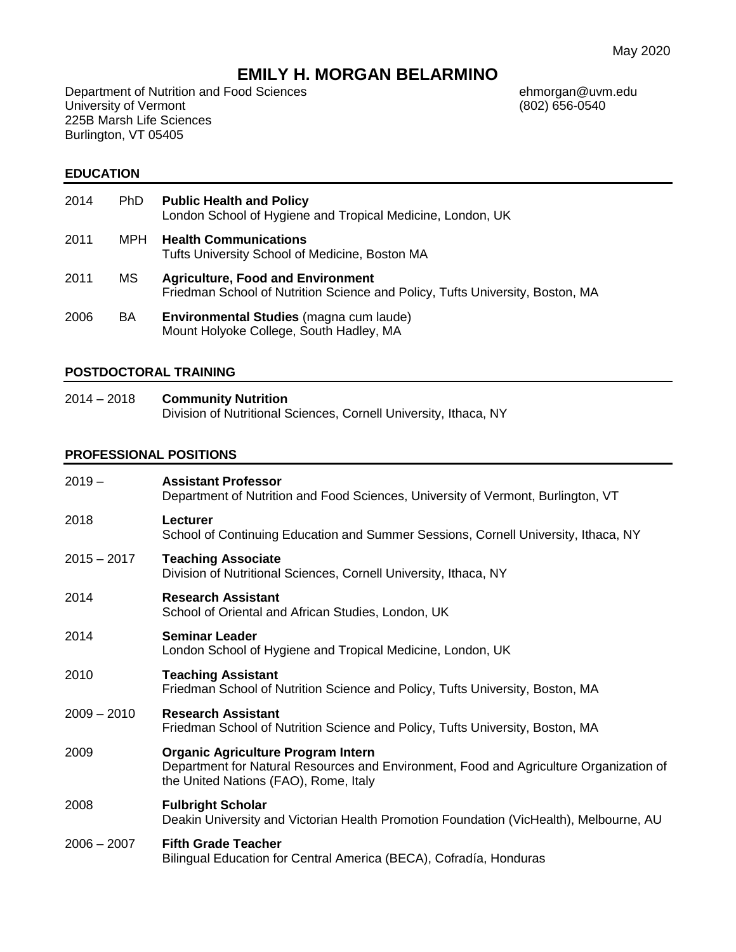# **EMILY H. MORGAN BELARMINO**

Department of Nutrition and Food Sciences<br>
University of Vermont
(802) 656-0540 University of Vermont 225B Marsh Life Sciences Burlington, VT 05405

#### **EDUCATION**

- 2014 PhD **Public Health and Policy** London School of Hygiene and Tropical Medicine, London, UK
- 2011 MPH **Health Communications** Tufts University School of Medicine, Boston MA
- 2011 MS **Agriculture, Food and Environment** Friedman School of Nutrition Science and Policy, Tufts University, Boston, MA
- 2006 BA **Environmental Studies** (magna cum laude) Mount Holyoke College, South Hadley, MA

#### **POSTDOCTORAL TRAINING**

2014 – 2018 **Community Nutrition** Division of Nutritional Sciences, Cornell University, Ithaca, NY

#### **PROFESSIONAL POSITIONS**

| $2019 -$      | <b>Assistant Professor</b><br>Department of Nutrition and Food Sciences, University of Vermont, Burlington, VT                                                               |
|---------------|------------------------------------------------------------------------------------------------------------------------------------------------------------------------------|
| 2018          | Lecturer<br>School of Continuing Education and Summer Sessions, Cornell University, Ithaca, NY                                                                               |
| $2015 - 2017$ | <b>Teaching Associate</b><br>Division of Nutritional Sciences, Cornell University, Ithaca, NY                                                                                |
| 2014          | <b>Research Assistant</b><br>School of Oriental and African Studies, London, UK                                                                                              |
| 2014          | <b>Seminar Leader</b><br>London School of Hygiene and Tropical Medicine, London, UK                                                                                          |
| 2010          | <b>Teaching Assistant</b><br>Friedman School of Nutrition Science and Policy, Tufts University, Boston, MA                                                                   |
| $2009 - 2010$ | <b>Research Assistant</b><br>Friedman School of Nutrition Science and Policy, Tufts University, Boston, MA                                                                   |
| 2009          | <b>Organic Agriculture Program Intern</b><br>Department for Natural Resources and Environment, Food and Agriculture Organization of<br>the United Nations (FAO), Rome, Italy |
| 2008          | <b>Fulbright Scholar</b><br>Deakin University and Victorian Health Promotion Foundation (VicHealth), Melbourne, AU                                                           |
| $2006 - 2007$ | <b>Fifth Grade Teacher</b><br>Bilingual Education for Central America (BECA), Cofradía, Honduras                                                                             |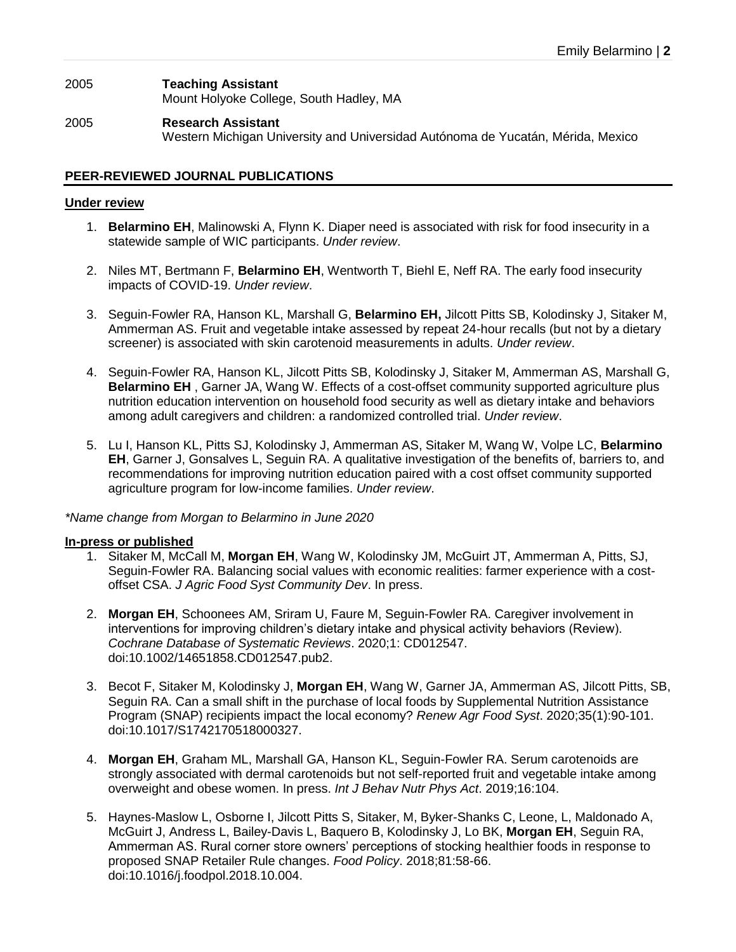# 2005 **Teaching Assistant** Mount Holyoke College, South Hadley, MA

2005 **Research Assistant** Western Michigan University and Universidad Autónoma de Yucatán, Mérida, Mexico

# **PEER-REVIEWED JOURNAL PUBLICATIONS**

# **Under review**

- 1. **Belarmino EH**, Malinowski A, Flynn K. Diaper need is associated with risk for food insecurity in a statewide sample of WIC participants. *Under review*.
- 2. Niles MT, Bertmann F, **Belarmino EH**, Wentworth T, Biehl E, Neff RA. The early food insecurity impacts of COVID-19. *Under review*.
- 3. Seguin-Fowler RA, Hanson KL, Marshall G, **Belarmino EH,** Jilcott Pitts SB, Kolodinsky J, Sitaker M, Ammerman AS. Fruit and vegetable intake assessed by repeat 24-hour recalls (but not by a dietary screener) is associated with skin carotenoid measurements in adults. *Under review*.
- 4. Seguin-Fowler RA, Hanson KL, Jilcott Pitts SB, Kolodinsky J, Sitaker M, Ammerman AS, Marshall G, **Belarmino EH** , Garner JA, Wang W. Effects of a cost-offset community supported agriculture plus nutrition education intervention on household food security as well as dietary intake and behaviors among adult caregivers and children: a randomized controlled trial. *Under review*.
- 5. Lu I, Hanson KL, Pitts SJ, Kolodinsky J, Ammerman AS, Sitaker M, Wang W, Volpe LC, **Belarmino EH**, Garner J, Gonsalves L, Seguin RA. A qualitative investigation of the benefits of, barriers to, and recommendations for improving nutrition education paired with a cost offset community supported agriculture program for low-income families. *Under review*.

*\*Name change from Morgan to Belarmino in June 2020*

## **In-press or published**

- 1. Sitaker M, McCall M, **Morgan EH**, Wang W, Kolodinsky JM, McGuirt JT, Ammerman A, Pitts, SJ, Seguin-Fowler RA. Balancing social values with economic realities: farmer experience with a costoffset CSA. *J Agric Food Syst Community Dev*. In press.
- 2. **Morgan EH**, Schoonees AM, Sriram U, Faure M, Seguin-Fowler RA. Caregiver involvement in interventions for improving children's dietary intake and physical activity behaviors (Review). *Cochrane Database of Systematic Reviews*. 2020;1: CD012547. doi:10.1002/14651858.CD012547.pub2.
- 3. Becot F, Sitaker M, Kolodinsky J, **Morgan EH**, Wang W, Garner JA, Ammerman AS, Jilcott Pitts, SB, Seguin RA. Can a small shift in the purchase of local foods by Supplemental Nutrition Assistance Program (SNAP) recipients impact the local economy? *Renew Agr Food Syst*. 2020;35(1):90-101. doi:10.1017/S1742170518000327.
- 4. **Morgan EH**, Graham ML, Marshall GA, Hanson KL, Seguin-Fowler RA. Serum carotenoids are strongly associated with dermal carotenoids but not self-reported fruit and vegetable intake among overweight and obese women. In press. *Int J Behav Nutr Phys Act*. 2019;16:104.
- 5. Haynes-Maslow L, Osborne I, Jilcott Pitts S, Sitaker, M, Byker-Shanks C, Leone, L, Maldonado A, McGuirt J, Andress L, Bailey-Davis L, Baquero B, Kolodinsky J, Lo BK, **Morgan EH**, Seguin RA, Ammerman AS. Rural corner store owners' perceptions of stocking healthier foods in response to proposed SNAP Retailer Rule changes. *Food Policy*. 2018;81:58-66. doi:10.1016/j.foodpol.2018.10.004.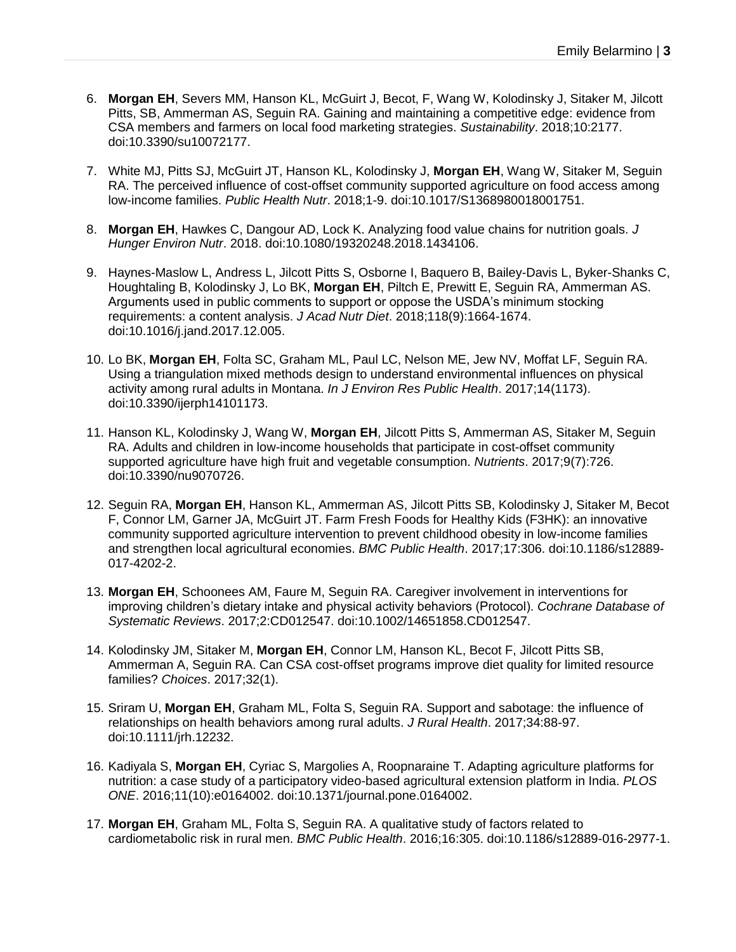- 6. **Morgan EH**, Severs MM, Hanson KL, McGuirt J, Becot, F, Wang W, Kolodinsky J, Sitaker M, Jilcott Pitts, SB, Ammerman AS, Seguin RA. Gaining and maintaining a competitive edge: evidence from CSA members and farmers on local food marketing strategies. *Sustainability*. 2018;10:2177. doi:10.3390/su10072177.
- 7. White MJ, Pitts SJ, McGuirt JT, Hanson KL, Kolodinsky J, **Morgan EH**, Wang W, Sitaker M, Seguin RA. The perceived influence of cost-offset community supported agriculture on food access among low-income families. *Public Health Nutr*. 2018;1-9. doi:10.1017/S1368980018001751.
- 8. **Morgan EH**, Hawkes C, Dangour AD, Lock K. Analyzing food value chains for nutrition goals. *J Hunger Environ Nutr*. 2018. doi:10.1080/19320248.2018.1434106.
- 9. Haynes-Maslow L, Andress L, Jilcott Pitts S, Osborne I, Baquero B, Bailey-Davis L, Byker-Shanks C, Houghtaling B, Kolodinsky J, Lo BK, **Morgan EH**, Piltch E, Prewitt E, Seguin RA, Ammerman AS. Arguments used in public comments to support or oppose the USDA's minimum stocking requirements: a content analysis. *J Acad Nutr Diet*. 2018;118(9):1664-1674. doi:10.1016/j.jand.2017.12.005.
- 10. Lo BK, **Morgan EH**, Folta SC, Graham ML, Paul LC, Nelson ME, Jew NV, Moffat LF, Seguin RA. Using a triangulation mixed methods design to understand environmental influences on physical activity among rural adults in Montana. *In J Environ Res Public Health*. 2017;14(1173). doi:10.3390/ijerph14101173.
- 11. Hanson KL, Kolodinsky J, Wang W, **Morgan EH**, Jilcott Pitts S, Ammerman AS, Sitaker M, Seguin RA. Adults and children in low-income households that participate in cost-offset community supported agriculture have high fruit and vegetable consumption. *Nutrients*. 2017;9(7):726. doi:10.3390/nu9070726.
- 12. Seguin RA, **Morgan EH**, Hanson KL, Ammerman AS, Jilcott Pitts SB, Kolodinsky J, Sitaker M, Becot F, Connor LM, Garner JA, McGuirt JT. Farm Fresh Foods for Healthy Kids (F3HK): an innovative community supported agriculture intervention to prevent childhood obesity in low-income families and strengthen local agricultural economies. *BMC Public Health*. 2017;17:306. doi:10.1186/s12889- 017-4202-2.
- 13. **Morgan EH**, Schoonees AM, Faure M, Seguin RA. Caregiver involvement in interventions for improving children's dietary intake and physical activity behaviors (Protocol). *Cochrane Database of Systematic Reviews*. 2017;2:CD012547. doi:10.1002/14651858.CD012547.
- 14. Kolodinsky JM, Sitaker M, **Morgan EH**, Connor LM, Hanson KL, Becot F, Jilcott Pitts SB, Ammerman A, Seguin RA. Can CSA cost-offset programs improve diet quality for limited resource families? *Choices*. 2017;32(1).
- 15. Sriram U, **Morgan EH**, Graham ML, Folta S, Seguin RA. Support and sabotage: the influence of relationships on health behaviors among rural adults. *J Rural Health*. 2017;34:88-97. doi:10.1111/jrh.12232.
- 16. Kadiyala S, **Morgan EH**, Cyriac S, Margolies A, Roopnaraine T. Adapting agriculture platforms for nutrition: a case study of a participatory video-based agricultural extension platform in India. *PLOS ONE*. 2016;11(10):e0164002. doi:10.1371/journal.pone.0164002.
- 17. **Morgan EH**, Graham ML, Folta S, Seguin RA. A qualitative study of factors related to cardiometabolic risk in rural men. *BMC Public Health*. 2016;16:305. doi:10.1186/s12889-016-2977-1.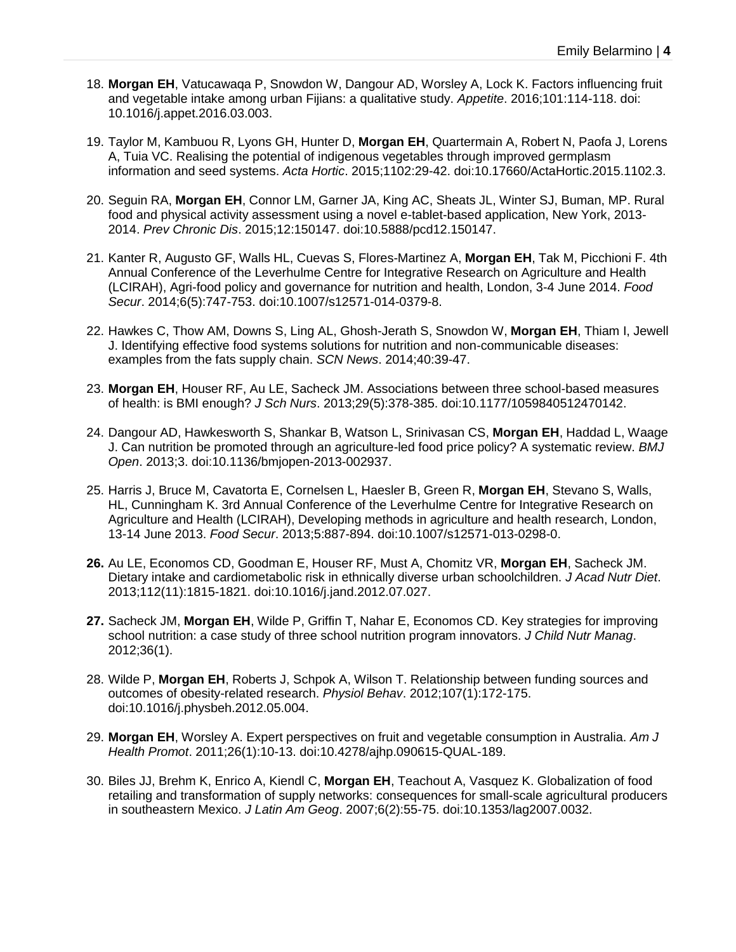- 18. **Morgan EH**, Vatucawaqa P, Snowdon W, Dangour AD, Worsley A, Lock K. Factors influencing fruit and vegetable intake among urban Fijians: a qualitative study. *Appetite*. 2016;101:114-118. doi: 10.1016/j.appet.2016.03.003.
- 19. Taylor M, Kambuou R, Lyons GH, Hunter D, **Morgan EH**, Quartermain A, Robert N, Paofa J, Lorens A, Tuia VC. Realising the potential of indigenous vegetables through improved germplasm information and seed systems. *Acta Hortic*. 2015;1102:29-42. doi:10.17660/ActaHortic.2015.1102.3.
- 20. Seguin RA, **Morgan EH**, Connor LM, Garner JA, King AC, Sheats JL, Winter SJ, Buman, MP. Rural food and physical activity assessment using a novel e-tablet-based application, New York, 2013- 2014. *Prev Chronic Dis*. 2015;12:150147. doi:10.5888/pcd12.150147.
- 21. Kanter R, Augusto GF, Walls HL, Cuevas S, Flores-Martinez A, **Morgan EH**, Tak M, Picchioni F. 4th Annual Conference of the Leverhulme Centre for Integrative Research on Agriculture and Health (LCIRAH), Agri-food policy and governance for nutrition and health, London, 3-4 June 2014. *Food Secur*. 2014;6(5):747-753. doi:10.1007/s12571-014-0379-8.
- 22. Hawkes C, Thow AM, Downs S, Ling AL, Ghosh-Jerath S, Snowdon W, **Morgan EH**, Thiam I, Jewell J. Identifying effective food systems solutions for nutrition and non-communicable diseases: examples from the fats supply chain. *SCN News*. 2014;40:39-47.
- 23. **Morgan EH**, Houser RF, Au LE, Sacheck JM. Associations between three school-based measures of health: is BMI enough? *J Sch Nurs*. 2013;29(5):378-385. doi:10.1177/1059840512470142.
- 24. Dangour AD, Hawkesworth S, Shankar B, Watson L, Srinivasan CS, **Morgan EH**, Haddad L, Waage J. Can nutrition be promoted through an agriculture-led food price policy? A systematic review. *BMJ Open*. 2013;3. doi:10.1136/bmjopen-2013-002937.
- 25. Harris J, Bruce M, Cavatorta E, Cornelsen L, Haesler B, Green R, **Morgan EH**, Stevano S, Walls, HL, Cunningham K. 3rd Annual Conference of the Leverhulme Centre for Integrative Research on Agriculture and Health (LCIRAH), Developing methods in agriculture and health research, London, 13-14 June 2013. *Food Secur*. 2013;5:887-894. doi:10.1007/s12571-013-0298-0.
- **26.** Au LE, Economos CD, Goodman E, Houser RF, Must A, Chomitz VR, **Morgan EH**, Sacheck JM. Dietary intake and cardiometabolic risk in ethnically diverse urban schoolchildren. *J Acad Nutr Diet*. 2013;112(11):1815-1821. doi:10.1016/j.jand.2012.07.027.
- **27.** Sacheck JM, **Morgan EH**, Wilde P, Griffin T, Nahar E, Economos CD. Key strategies for improving school nutrition: a case study of three school nutrition program innovators. *J Child Nutr Manag*. 2012;36(1).
- 28. Wilde P, **Morgan EH**, Roberts J, Schpok A, Wilson T. Relationship between funding sources and outcomes of obesity-related research. *Physiol Behav*. 2012;107(1):172-175. doi:10.1016/j.physbeh.2012.05.004.
- 29. **Morgan EH**, Worsley A. Expert perspectives on fruit and vegetable consumption in Australia. *Am J Health Promot*. 2011;26(1):10-13. doi:10.4278/ajhp.090615-QUAL-189.
- 30. Biles JJ, Brehm K, Enrico A, Kiendl C, **Morgan EH**, Teachout A, Vasquez K. Globalization of food retailing and transformation of supply networks: consequences for small-scale agricultural producers in southeastern Mexico. *J Latin Am Geog*. 2007;6(2):55-75. doi:10.1353/lag2007.0032.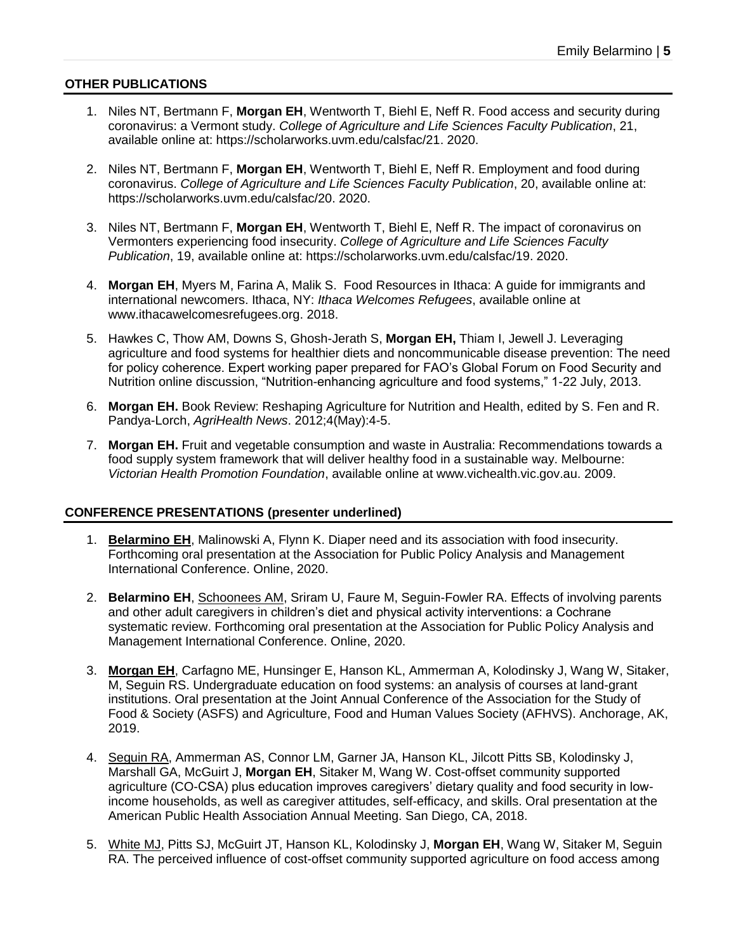# **OTHER PUBLICATIONS**

- 1. Niles NT, Bertmann F, **Morgan EH**, Wentworth T, Biehl E, Neff R. Food access and security during coronavirus: a Vermont study. *College of Agriculture and Life Sciences Faculty Publication*, 21, available online at: https://scholarworks.uvm.edu/calsfac/21. 2020.
- 2. Niles NT, Bertmann F, **Morgan EH**, Wentworth T, Biehl E, Neff R. Employment and food during coronavirus. *College of Agriculture and Life Sciences Faculty Publication*, 20, available online at: https://scholarworks.uvm.edu/calsfac/20. 2020.
- 3. Niles NT, Bertmann F, **Morgan EH**, Wentworth T, Biehl E, Neff R. The impact of coronavirus on Vermonters experiencing food insecurity. *College of Agriculture and Life Sciences Faculty Publication*, 19, available online at: https://scholarworks.uvm.edu/calsfac/19. 2020.
- 4. **Morgan EH**, Myers M, Farina A, Malik S. Food Resources in Ithaca: A guide for immigrants and international newcomers. Ithaca, NY: *Ithaca Welcomes Refugees*, available online at www.ithacawelcomesrefugees.org. 2018.
- 5. Hawkes C, Thow AM, Downs S, Ghosh-Jerath S, **Morgan EH,** Thiam I, Jewell J. Leveraging agriculture and food systems for healthier diets and noncommunicable disease prevention: The need for policy coherence. Expert working paper prepared for FAO's Global Forum on Food Security and Nutrition online discussion, "Nutrition-enhancing agriculture and food systems," 1-22 July, 2013.
- 6. **Morgan EH.** Book Review: Reshaping Agriculture for Nutrition and Health, edited by S. Fen and R. Pandya-Lorch, *AgriHealth News*. 2012;4(May):4-5.
- 7. **Morgan EH.** Fruit and vegetable consumption and waste in Australia: Recommendations towards a food supply system framework that will deliver healthy food in a sustainable way. Melbourne: *Victorian Health Promotion Foundation*, available online at www.vichealth.vic.gov.au. 2009.

## **CONFERENCE PRESENTATIONS (presenter underlined)**

- 1. **Belarmino EH**, Malinowski A, Flynn K. Diaper need and its association with food insecurity. Forthcoming oral presentation at the Association for Public Policy Analysis and Management International Conference. Online, 2020.
- 2. **Belarmino EH**, Schoonees AM, Sriram U, Faure M, Seguin-Fowler RA. Effects of involving parents and other adult caregivers in children's diet and physical activity interventions: a Cochrane systematic review. Forthcoming oral presentation at the Association for Public Policy Analysis and Management International Conference. Online, 2020.
- 3. **Morgan EH**, Carfagno ME, Hunsinger E, Hanson KL, Ammerman A, Kolodinsky J, Wang W, Sitaker, M, Seguin RS. Undergraduate education on food systems: an analysis of courses at land-grant institutions. Oral presentation at the Joint Annual Conference of the Association for the Study of Food & Society (ASFS) and Agriculture, Food and Human Values Society (AFHVS). Anchorage, AK, 2019.
- 4. Seguin RA, Ammerman AS, Connor LM, Garner JA, Hanson KL, Jilcott Pitts SB, Kolodinsky J, Marshall GA, McGuirt J, **Morgan EH**, Sitaker M, Wang W. Cost-offset community supported agriculture (CO-CSA) plus education improves caregivers' dietary quality and food security in lowincome households, as well as caregiver attitudes, self-efficacy, and skills. Oral presentation at the American Public Health Association Annual Meeting. San Diego, CA, 2018.
- 5. White MJ, Pitts SJ, McGuirt JT, Hanson KL, Kolodinsky J, **Morgan EH**, Wang W, Sitaker M, Seguin RA. The perceived influence of cost-offset community supported agriculture on food access among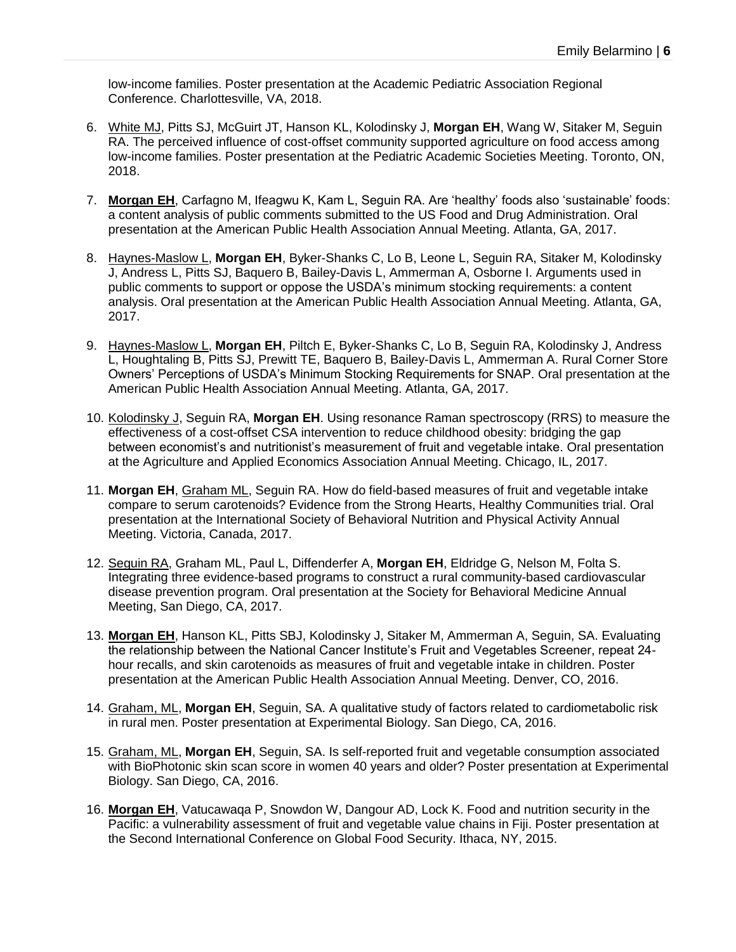low-income families. Poster presentation at the Academic Pediatric Association Regional Conference. Charlottesville, VA, 2018.

- 6. White MJ, Pitts SJ, McGuirt JT, Hanson KL, Kolodinsky J, **Morgan EH**, Wang W, Sitaker M, Seguin RA. The perceived influence of cost-offset community supported agriculture on food access among low-income families. Poster presentation at the Pediatric Academic Societies Meeting. Toronto, ON, 2018.
- 7. **Morgan EH**, Carfagno M, Ifeagwu K, Kam L, Seguin RA. Are 'healthy' foods also 'sustainable' foods: a content analysis of public comments submitted to the US Food and Drug Administration. Oral presentation at the American Public Health Association Annual Meeting. Atlanta, GA, 2017.
- 8. Haynes-Maslow L, **Morgan EH**, Byker-Shanks C, Lo B, Leone L, Seguin RA, Sitaker M, Kolodinsky J, Andress L, Pitts SJ, Baquero B, Bailey-Davis L, Ammerman A, Osborne I. Arguments used in public comments to support or oppose the USDA's minimum stocking requirements: a content analysis. Oral presentation at the American Public Health Association Annual Meeting. Atlanta, GA, 2017.
- 9. Haynes-Maslow L, **Morgan EH**, Piltch E, Byker-Shanks C, Lo B, Seguin RA, Kolodinsky J, Andress L, Houghtaling B, Pitts SJ, Prewitt TE, Baquero B, Bailey-Davis L, Ammerman A. Rural Corner Store Owners' Perceptions of USDA's Minimum Stocking Requirements for SNAP. Oral presentation at the American Public Health Association Annual Meeting. Atlanta, GA, 2017.
- 10. Kolodinsky J, Seguin RA, **Morgan EH**. Using resonance Raman spectroscopy (RRS) to measure the effectiveness of a cost-offset CSA intervention to reduce childhood obesity: bridging the gap between economist's and nutritionist's measurement of fruit and vegetable intake. Oral presentation at the Agriculture and Applied Economics Association Annual Meeting. Chicago, IL, 2017.
- 11. **Morgan EH**, Graham ML, Seguin RA. How do field-based measures of fruit and vegetable intake compare to serum carotenoids? Evidence from the Strong Hearts, Healthy Communities trial. Oral presentation at the International Society of Behavioral Nutrition and Physical Activity Annual Meeting. Victoria, Canada, 2017.
- 12. Seguin RA, Graham ML, Paul L, Diffenderfer A, **Morgan EH**, Eldridge G, Nelson M, Folta S. Integrating three evidence-based programs to construct a rural community-based cardiovascular disease prevention program. Oral presentation at the Society for Behavioral Medicine Annual Meeting, San Diego, CA, 2017.
- 13. **Morgan EH**, Hanson KL, Pitts SBJ, Kolodinsky J, Sitaker M, Ammerman A, Seguin, SA. Evaluating the relationship between the National Cancer Institute's Fruit and Vegetables Screener, repeat 24 hour recalls, and skin carotenoids as measures of fruit and vegetable intake in children. Poster presentation at the American Public Health Association Annual Meeting. Denver, CO, 2016.
- 14. Graham, ML, **Morgan EH**, Seguin, SA. A qualitative study of factors related to cardiometabolic risk in rural men. Poster presentation at Experimental Biology. San Diego, CA, 2016.
- 15. Graham, ML, **Morgan EH**, Seguin, SA. Is self-reported fruit and vegetable consumption associated with BioPhotonic skin scan score in women 40 years and older? Poster presentation at Experimental Biology. San Diego, CA, 2016.
- 16. **Morgan EH**, Vatucawaqa P, Snowdon W, Dangour AD, Lock K. Food and nutrition security in the Pacific: a vulnerability assessment of fruit and vegetable value chains in Fiji. Poster presentation at the Second International Conference on Global Food Security. Ithaca, NY, 2015.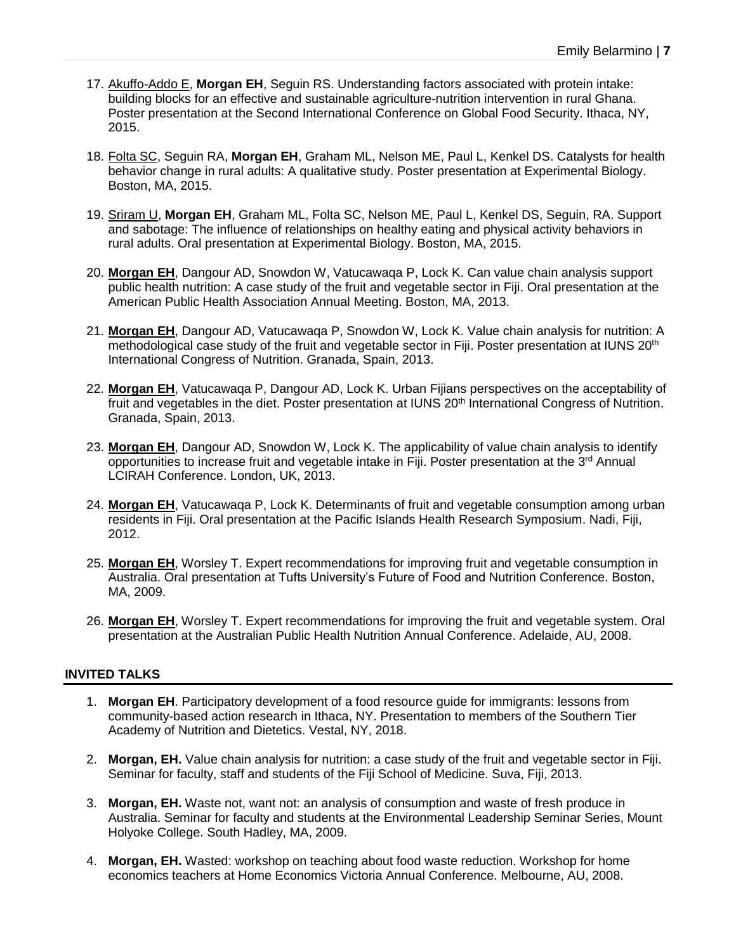- 17. Akuffo-Addo E, **Morgan EH**, Seguin RS. Understanding factors associated with protein intake: building blocks for an effective and sustainable agriculture-nutrition intervention in rural Ghana. Poster presentation at the Second International Conference on Global Food Security. Ithaca, NY, 2015.
- 18. Folta SC, Seguin RA, **Morgan EH**, Graham ML, Nelson ME, Paul L, Kenkel DS. Catalysts for health behavior change in rural adults: A qualitative study. Poster presentation at Experimental Biology. Boston, MA, 2015.
- 19. Sriram U, **Morgan EH**, Graham ML, Folta SC, Nelson ME, Paul L, Kenkel DS, Seguin, RA. Support and sabotage: The influence of relationships on healthy eating and physical activity behaviors in rural adults. Oral presentation at Experimental Biology. Boston, MA, 2015.
- 20. **Morgan EH**, Dangour AD, Snowdon W, Vatucawaqa P, Lock K. Can value chain analysis support public health nutrition: A case study of the fruit and vegetable sector in Fiji. Oral presentation at the American Public Health Association Annual Meeting. Boston, MA, 2013.
- 21. **Morgan EH**, Dangour AD, Vatucawaqa P, Snowdon W, Lock K. Value chain analysis for nutrition: A methodological case study of the fruit and vegetable sector in Fiji. Poster presentation at IUNS 20<sup>th</sup> International Congress of Nutrition. Granada, Spain, 2013.
- 22. **Morgan EH**, Vatucawaqa P, Dangour AD, Lock K. Urban Fijians perspectives on the acceptability of fruit and vegetables in the diet. Poster presentation at IUNS 20<sup>th</sup> International Congress of Nutrition. Granada, Spain, 2013.
- 23. **Morgan EH**, Dangour AD, Snowdon W, Lock K. The applicability of value chain analysis to identify opportunities to increase fruit and vegetable intake in Fiji. Poster presentation at the  $3<sup>rd</sup>$  Annual LCIRAH Conference. London, UK, 2013.
- 24. **Morgan EH**, Vatucawaqa P, Lock K. Determinants of fruit and vegetable consumption among urban residents in Fiji. Oral presentation at the Pacific Islands Health Research Symposium. Nadi, Fiji, 2012.
- 25. **Morgan EH**, Worsley T. Expert recommendations for improving fruit and vegetable consumption in Australia. Oral presentation at Tufts University's Future of Food and Nutrition Conference. Boston, MA, 2009.
- 26. **Morgan EH**, Worsley T. Expert recommendations for improving the fruit and vegetable system. Oral presentation at the Australian Public Health Nutrition Annual Conference. Adelaide, AU, 2008.

## **INVITED TALKS**

- 1. **Morgan EH**. Participatory development of a food resource guide for immigrants: lessons from community-based action research in Ithaca, NY. Presentation to members of the Southern Tier Academy of Nutrition and Dietetics. Vestal, NY, 2018.
- 2. **Morgan, EH.** Value chain analysis for nutrition: a case study of the fruit and vegetable sector in Fiji. Seminar for faculty, staff and students of the Fiji School of Medicine. Suva, Fiji, 2013.
- 3. **Morgan, EH.** Waste not, want not: an analysis of consumption and waste of fresh produce in Australia. Seminar for faculty and students at the Environmental Leadership Seminar Series, Mount Holyoke College. South Hadley, MA, 2009.
- 4. **Morgan, EH.** Wasted: workshop on teaching about food waste reduction. Workshop for home economics teachers at Home Economics Victoria Annual Conference. Melbourne, AU, 2008.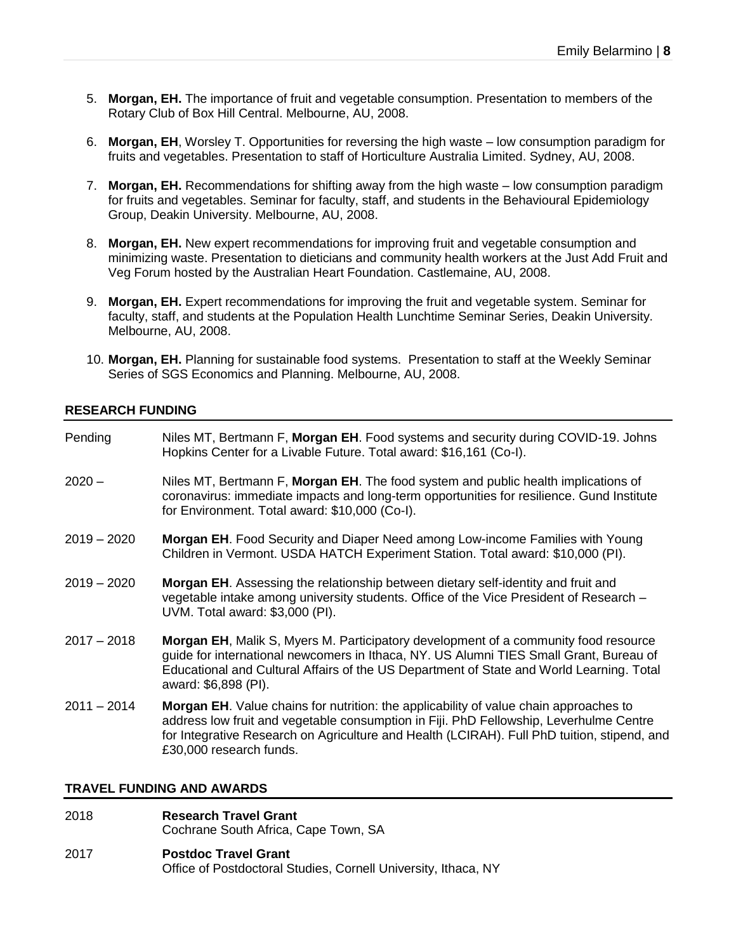- 5. **Morgan, EH.** The importance of fruit and vegetable consumption. Presentation to members of the Rotary Club of Box Hill Central. Melbourne, AU, 2008.
- 6. **Morgan, EH**, Worsley T. Opportunities for reversing the high waste low consumption paradigm for fruits and vegetables. Presentation to staff of Horticulture Australia Limited. Sydney, AU, 2008.
- 7. **Morgan, EH.** Recommendations for shifting away from the high waste low consumption paradigm for fruits and vegetables. Seminar for faculty, staff, and students in the Behavioural Epidemiology Group, Deakin University. Melbourne, AU, 2008.
- 8. **Morgan, EH.** New expert recommendations for improving fruit and vegetable consumption and minimizing waste. Presentation to dieticians and community health workers at the Just Add Fruit and Veg Forum hosted by the Australian Heart Foundation. Castlemaine, AU, 2008.
- 9. **Morgan, EH.** Expert recommendations for improving the fruit and vegetable system. Seminar for faculty, staff, and students at the Population Health Lunchtime Seminar Series, Deakin University. Melbourne, AU, 2008.
- 10. **Morgan, EH.** Planning for sustainable food systems. Presentation to staff at the Weekly Seminar Series of SGS Economics and Planning. Melbourne, AU, 2008.

#### **RESEARCH FUNDING**

| Pending       | Niles MT, Bertmann F, Morgan EH. Food systems and security during COVID-19. Johns<br>Hopkins Center for a Livable Future. Total award: \$16,161 (Co-I).                                                                                                                                                          |
|---------------|------------------------------------------------------------------------------------------------------------------------------------------------------------------------------------------------------------------------------------------------------------------------------------------------------------------|
| $2020 -$      | Niles MT, Bertmann F, Morgan EH. The food system and public health implications of<br>coronavirus: immediate impacts and long-term opportunities for resilience. Gund Institute<br>for Environment. Total award: \$10,000 (Co-I).                                                                                |
| $2019 - 2020$ | Morgan EH. Food Security and Diaper Need among Low-income Families with Young<br>Children in Vermont. USDA HATCH Experiment Station. Total award: \$10,000 (PI).                                                                                                                                                 |
| $2019 - 2020$ | <b>Morgan EH.</b> Assessing the relationship between dietary self-identity and fruit and<br>vegetable intake among university students. Office of the Vice President of Research -<br>UVM. Total award: \$3,000 (PI).                                                                                            |
| $2017 - 2018$ | <b>Morgan EH, Malik S, Myers M. Participatory development of a community food resource</b><br>guide for international newcomers in Ithaca, NY. US Alumni TIES Small Grant, Bureau of<br>Educational and Cultural Affairs of the US Department of State and World Learning. Total<br>award: \$6,898 (PI).         |
| $2011 - 2014$ | <b>Morgan EH.</b> Value chains for nutrition: the applicability of value chain approaches to<br>address low fruit and vegetable consumption in Fiji. PhD Fellowship, Leverhulme Centre<br>for Integrative Research on Agriculture and Health (LCIRAH). Full PhD tuition, stipend, and<br>£30,000 research funds. |
|               |                                                                                                                                                                                                                                                                                                                  |

### **TRAVEL FUNDING AND AWARDS**

- 2018 **Research Travel Grant** Cochrane South Africa, Cape Town, SA
- 2017 **Postdoc Travel Grant** Office of Postdoctoral Studies, Cornell University, Ithaca, NY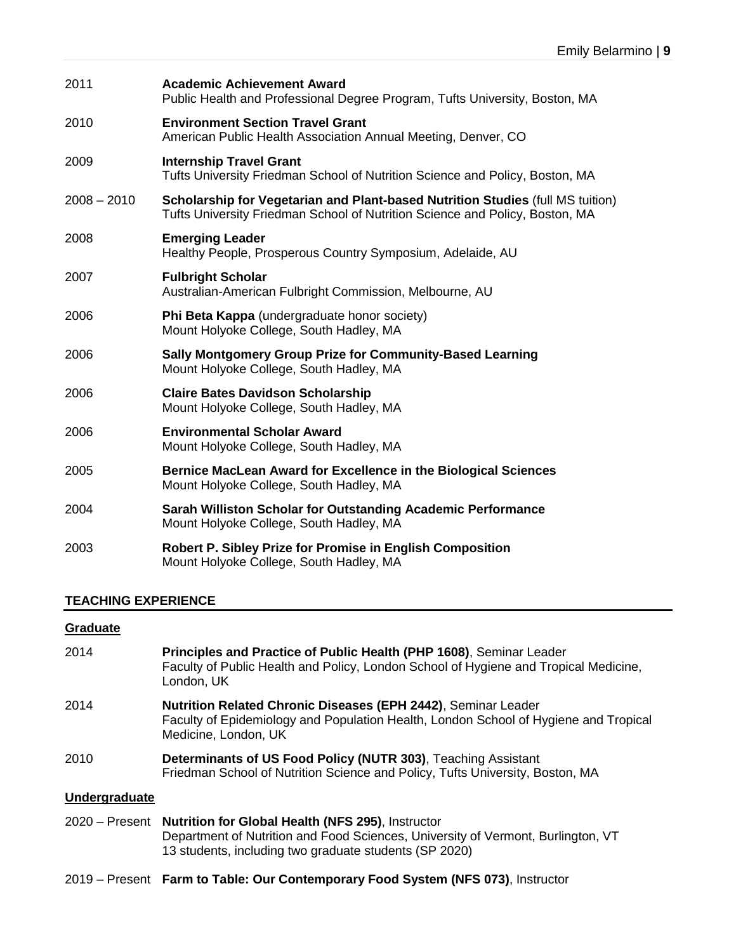| 2011          | <b>Academic Achievement Award</b><br>Public Health and Professional Degree Program, Tufts University, Boston, MA                                               |
|---------------|----------------------------------------------------------------------------------------------------------------------------------------------------------------|
| 2010          | <b>Environment Section Travel Grant</b><br>American Public Health Association Annual Meeting, Denver, CO                                                       |
| 2009          | <b>Internship Travel Grant</b><br>Tufts University Friedman School of Nutrition Science and Policy, Boston, MA                                                 |
| $2008 - 2010$ | Scholarship for Vegetarian and Plant-based Nutrition Studies (full MS tuition)<br>Tufts University Friedman School of Nutrition Science and Policy, Boston, MA |
| 2008          | <b>Emerging Leader</b><br>Healthy People, Prosperous Country Symposium, Adelaide, AU                                                                           |
| 2007          | <b>Fulbright Scholar</b><br>Australian-American Fulbright Commission, Melbourne, AU                                                                            |
| 2006          | Phi Beta Kappa (undergraduate honor society)<br>Mount Holyoke College, South Hadley, MA                                                                        |
| 2006          | Sally Montgomery Group Prize for Community-Based Learning<br>Mount Holyoke College, South Hadley, MA                                                           |
| 2006          | <b>Claire Bates Davidson Scholarship</b><br>Mount Holyoke College, South Hadley, MA                                                                            |
| 2006          | <b>Environmental Scholar Award</b><br>Mount Holyoke College, South Hadley, MA                                                                                  |
| 2005          | Bernice MacLean Award for Excellence in the Biological Sciences<br>Mount Holyoke College, South Hadley, MA                                                     |
| 2004          | Sarah Williston Scholar for Outstanding Academic Performance<br>Mount Holyoke College, South Hadley, MA                                                        |
| 2003          | Robert P. Sibley Prize for Promise in English Composition<br>Mount Holyoke College, South Hadley, MA                                                           |

# **TEACHING EXPERIENCE**

# **Graduate**

| 2014             | Principles and Practice of Public Health (PHP 1608), Seminar Leader<br>Faculty of Public Health and Policy, London School of Hygiene and Tropical Medicine,<br>London, UK                              |
|------------------|--------------------------------------------------------------------------------------------------------------------------------------------------------------------------------------------------------|
| 2014             | <b>Nutrition Related Chronic Diseases (EPH 2442), Seminar Leader</b><br>Faculty of Epidemiology and Population Health, London School of Hygiene and Tropical<br>Medicine, London, UK                   |
| 2010             | Determinants of US Food Policy (NUTR 303), Teaching Assistant<br>Friedman School of Nutrition Science and Policy, Tufts University, Boston, MA                                                         |
| Undergraduate    |                                                                                                                                                                                                        |
| $2020 -$ Present | <b>Nutrition for Global Health (NFS 295), Instructor</b><br>Department of Nutrition and Food Sciences, University of Vermont, Burlington, VT<br>13 students, including two graduate students (SP 2020) |

2019 – Present **Farm to Table: Our Contemporary Food System (NFS 073)**, Instructor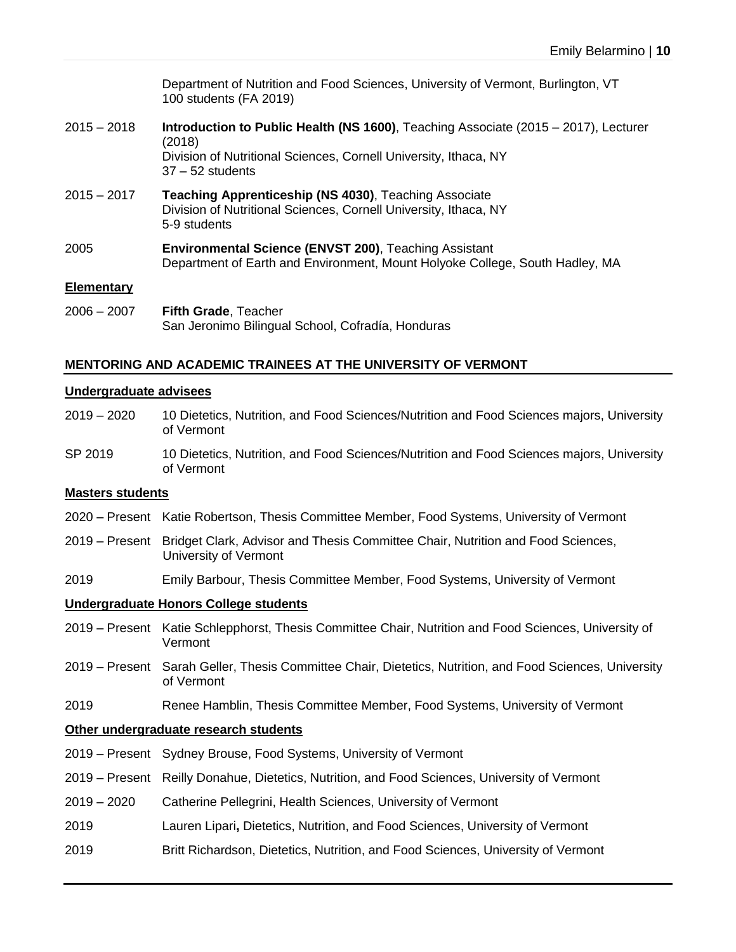Department of Nutrition and Food Sciences, University of Vermont, Burlington, VT 100 students (FA 2019)

- 2015 2018 **Introduction to Public Health (NS 1600)**, Teaching Associate (2015 2017), Lecturer (2018) Division of Nutritional Sciences, Cornell University, Ithaca, NY 37 – 52 students
- 2015 2017 **Teaching Apprenticeship (NS 4030)**, Teaching Associate Division of Nutritional Sciences, Cornell University, Ithaca, NY 5-9 students
- 2005 **Environmental Science (ENVST 200)**, Teaching Assistant Department of Earth and Environment, Mount Holyoke College, South Hadley, MA

#### **Elementary**

2006 – 2007 **Fifth Grade**, Teacher San Jeronimo Bilingual School, Cofradía, Honduras

#### **MENTORING AND ACADEMIC TRAINEES AT THE UNIVERSITY OF VERMONT**

#### **Undergraduate advisees**

- 2019 2020 10 Dietetics, Nutrition, and Food Sciences/Nutrition and Food Sciences majors, University of Vermont
- SP 2019 10 Dietetics, Nutrition, and Food Sciences/Nutrition and Food Sciences majors, University of Vermont

#### **Masters students**

- 2020 Present Katie Robertson, Thesis Committee Member, Food Systems, University of Vermont
- 2019 Present Bridget Clark, Advisor and Thesis Committee Chair, Nutrition and Food Sciences, University of Vermont
- 2019 Emily Barbour, Thesis Committee Member, Food Systems, University of Vermont

#### **Undergraduate Honors College students**

- 2019 Present Katie Schlepphorst, Thesis Committee Chair, Nutrition and Food Sciences, University of Vermont
- 2019 Present Sarah Geller, Thesis Committee Chair, Dietetics, Nutrition, and Food Sciences, University of Vermont
- 2019 Renee Hamblin, Thesis Committee Member, Food Systems, University of Vermont

#### **Other undergraduate research students**

- 2019 Present Sydney Brouse, Food Systems, University of Vermont
- 2019 Present Reilly Donahue, Dietetics, Nutrition, and Food Sciences, University of Vermont
- 2019 2020 Catherine Pellegrini, Health Sciences, University of Vermont
- 2019 Lauren Lipari**,** Dietetics, Nutrition, and Food Sciences, University of Vermont
- 2019 Britt Richardson, Dietetics, Nutrition, and Food Sciences, University of Vermont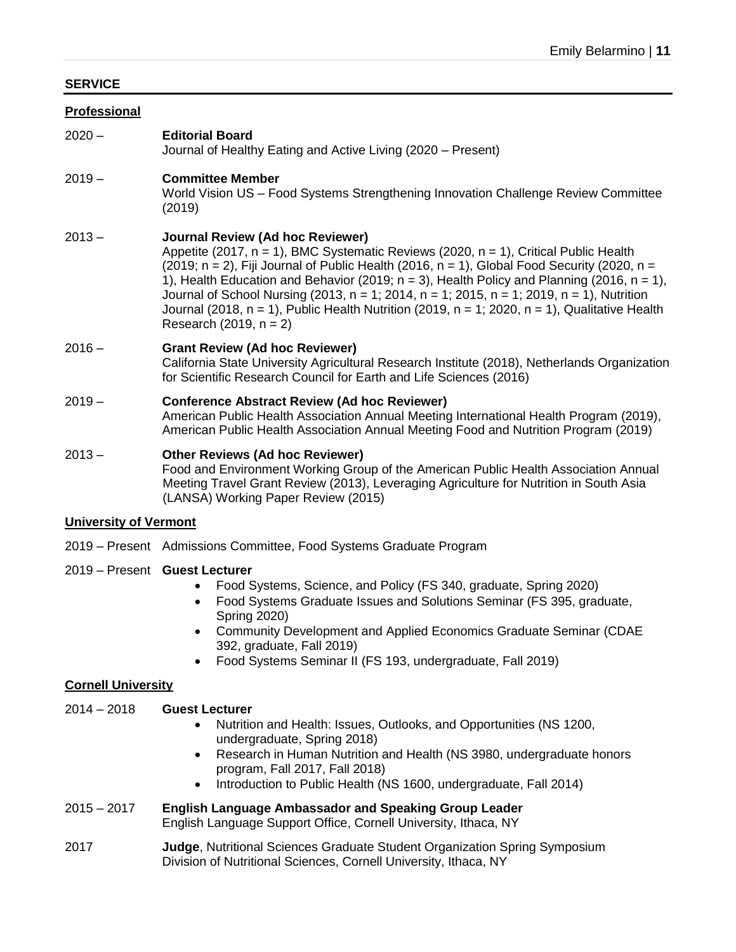# **SERVICE**

## **Professional**

2020 – **Editorial Board**

Journal of Healthy Eating and Active Living (2020 – Present)

# 2019 – **Committee Member**

World Vision US – Food Systems Strengthening Innovation Challenge Review Committee (2019)

# 2013 – **Journal Review (Ad hoc Reviewer)**

Appetite (2017, n = 1), BMC Systematic Reviews (2020, n = 1), Critical Public Health (2019; n = 2), Fiii Journal of Public Health (2016, n = 1). Global Food Security (2020, n = 1), Health Education and Behavior (2019;  $n = 3$ ), Health Policy and Planning (2016,  $n = 1$ ), Journal of School Nursing (2013,  $n = 1$ ; 2014,  $n = 1$ ; 2015,  $n = 1$ ; 2019,  $n = 1$ ), Nutrition Journal (2018,  $n = 1$ ), Public Health Nutrition (2019,  $n = 1$ ; 2020,  $n = 1$ ), Qualitative Health Research (2019,  $n = 2$ )

# 2016 – **Grant Review (Ad hoc Reviewer)**

California State University Agricultural Research Institute (2018), Netherlands Organization for Scientific Research Council for Earth and Life Sciences (2016)

# 2019 – **Conference Abstract Review (Ad hoc Reviewer)**

American Public Health Association Annual Meeting International Health Program (2019), American Public Health Association Annual Meeting Food and Nutrition Program (2019)

## 2013 – **Other Reviews (Ad hoc Reviewer)**

Food and Environment Working Group of the American Public Health Association Annual Meeting Travel Grant Review (2013), Leveraging Agriculture for Nutrition in South Asia (LANSA) Working Paper Review (2015)

## **University of Vermont**

2019 – Present Admissions Committee, Food Systems Graduate Program

## 2019 – Present **Guest Lecturer**

- Food Systems, Science, and Policy (FS 340, graduate, Spring 2020)
- Food Systems Graduate Issues and Solutions Seminar (FS 395, graduate, Spring 2020)
- Community Development and Applied Economics Graduate Seminar (CDAE 392, graduate, Fall 2019)
- Food Systems Seminar II (FS 193, undergraduate, Fall 2019)

# **Cornell University**

# 2014 – 2018 **Guest Lecturer**

- Nutrition and Health: Issues, Outlooks, and Opportunities (NS 1200, undergraduate, Spring 2018)
- Research in Human Nutrition and Health (NS 3980, undergraduate honors program, Fall 2017, Fall 2018)
- Introduction to Public Health (NS 1600, undergraduate, Fall 2014)

# 2015 – 2017 **English Language Ambassador and Speaking Group Leader**

English Language Support Office, Cornell University, Ithaca, NY

2017 **Judge**, Nutritional Sciences Graduate Student Organization Spring Symposium Division of Nutritional Sciences, Cornell University, Ithaca, NY